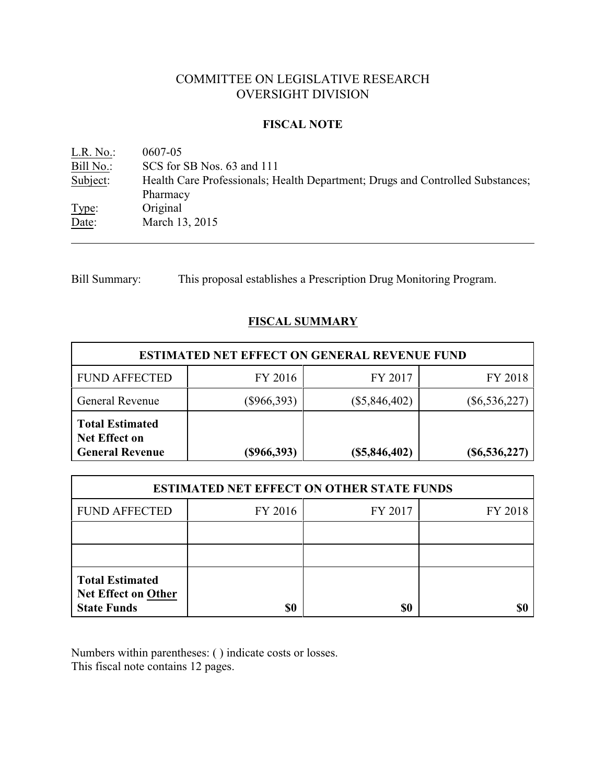# COMMITTEE ON LEGISLATIVE RESEARCH OVERSIGHT DIVISION

### **FISCAL NOTE**

<u>L.R. No.:</u> 0607-05<br>Bill No.: SCS for : SCS for SB Nos. 63 and 111 Subject: Health Care Professionals; Health Department; Drugs and Controlled Substances; Pharmacy Type: Original Date: March 13, 2015

Bill Summary: This proposal establishes a Prescription Drug Monitoring Program.

## **FISCAL SUMMARY**

| <b>ESTIMATED NET EFFECT ON GENERAL REVENUE FUND</b>                      |               |                 |                     |  |  |
|--------------------------------------------------------------------------|---------------|-----------------|---------------------|--|--|
| <b>FUND AFFECTED</b>                                                     | FY 2016       | FY 2017         | FY 2018             |  |  |
| <b>General Revenue</b>                                                   | $(\$966,393)$ | $(\$5,846,402)$ | $(\$6,536,227)$     |  |  |
| <b>Total Estimated</b><br><b>Net Effect on</b><br><b>General Revenue</b> | (\$966,393)   | $(\$5,846,402)$ | $($ \$6,536,227 $)$ |  |  |

| <b>ESTIMATED NET EFFECT ON OTHER STATE FUNDS</b>                           |         |         |         |  |  |
|----------------------------------------------------------------------------|---------|---------|---------|--|--|
| <b>FUND AFFECTED</b>                                                       | FY 2016 | FY 2017 | FY 2018 |  |  |
|                                                                            |         |         |         |  |  |
|                                                                            |         |         |         |  |  |
| <b>Total Estimated</b><br><b>Net Effect on Other</b><br><b>State Funds</b> | \$0     | \$0     |         |  |  |

Numbers within parentheses: ( ) indicate costs or losses. This fiscal note contains 12 pages.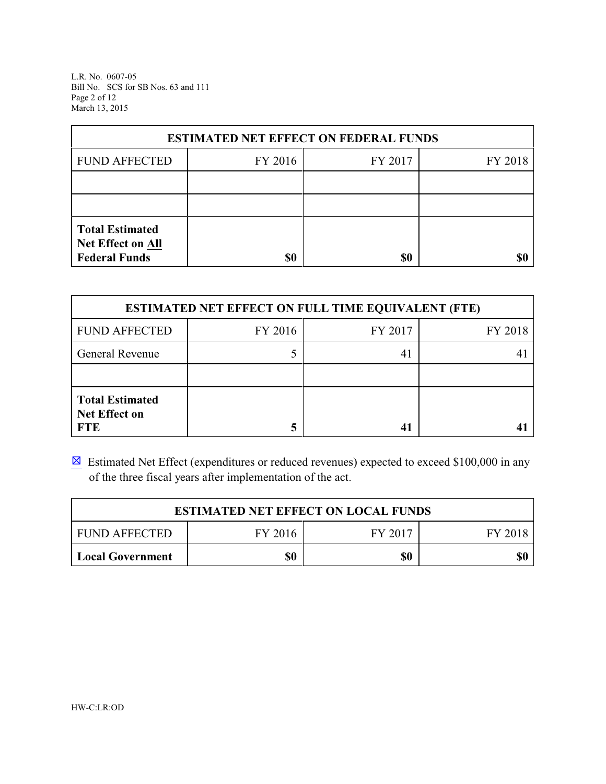L.R. No. 0607-05 Bill No. SCS for SB Nos. 63 and 111 Page 2 of 12 March 13, 2015

| <b>ESTIMATED NET EFFECT ON FEDERAL FUNDS</b>                        |         |         |         |  |  |
|---------------------------------------------------------------------|---------|---------|---------|--|--|
| <b>FUND AFFECTED</b>                                                | FY 2016 | FY 2017 | FY 2018 |  |  |
|                                                                     |         |         |         |  |  |
|                                                                     |         |         |         |  |  |
| <b>Total Estimated</b><br>Net Effect on All<br><b>Federal Funds</b> | \$0     | \$0     | SI)     |  |  |

| <b>ESTIMATED NET EFFECT ON FULL TIME EQUIVALENT (FTE)</b>    |         |         |         |  |  |
|--------------------------------------------------------------|---------|---------|---------|--|--|
| <b>FUND AFFECTED</b>                                         | FY 2016 | FY 2017 | FY 2018 |  |  |
| General Revenue                                              |         | 41      |         |  |  |
|                                                              |         |         |         |  |  |
| <b>Total Estimated</b><br><b>Net Effect on</b><br><b>FTE</b> |         |         |         |  |  |

 $\boxtimes$  Estimated Net Effect (expenditures or reduced revenues) expected to exceed \$100,000 in any of the three fiscal years after implementation of the act.

| <b>ESTIMATED NET EFFECT ON LOCAL FUNDS</b>            |  |  |  |  |  |  |
|-------------------------------------------------------|--|--|--|--|--|--|
| FY 2016<br>FY 2017<br><b>FUND AFFECTED</b><br>FY 2018 |  |  |  |  |  |  |
| \$0<br>\$0<br>\$0<br><b>Local Government</b>          |  |  |  |  |  |  |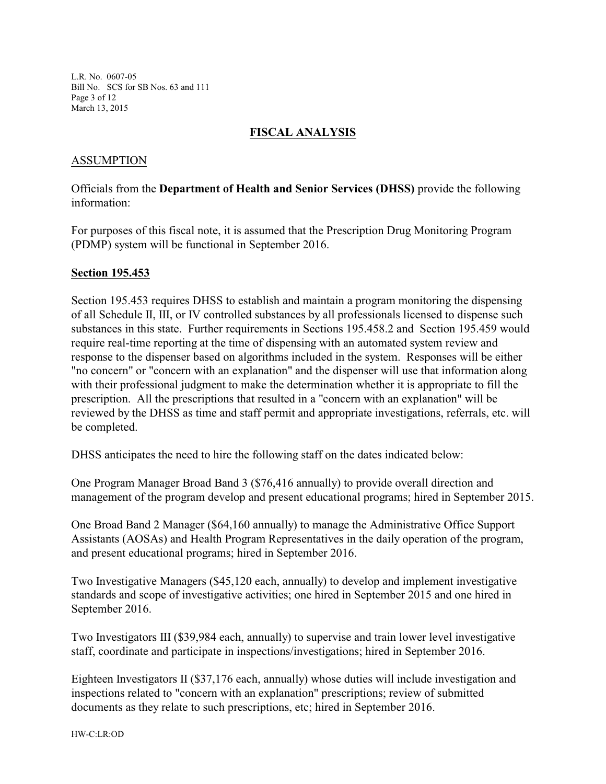L.R. No. 0607-05 Bill No. SCS for SB Nos. 63 and 111 Page 3 of 12 March 13, 2015

### **FISCAL ANALYSIS**

## ASSUMPTION

Officials from the **Department of Health and Senior Services (DHSS)** provide the following information:

For purposes of this fiscal note, it is assumed that the Prescription Drug Monitoring Program (PDMP) system will be functional in September 2016.

#### **Section 195.453**

Section 195.453 requires DHSS to establish and maintain a program monitoring the dispensing of all Schedule II, III, or IV controlled substances by all professionals licensed to dispense such substances in this state. Further requirements in Sections 195.458.2 and Section 195.459 would require real-time reporting at the time of dispensing with an automated system review and response to the dispenser based on algorithms included in the system. Responses will be either "no concern" or "concern with an explanation" and the dispenser will use that information along with their professional judgment to make the determination whether it is appropriate to fill the prescription. All the prescriptions that resulted in a "concern with an explanation" will be reviewed by the DHSS as time and staff permit and appropriate investigations, referrals, etc. will be completed.

DHSS anticipates the need to hire the following staff on the dates indicated below:

One Program Manager Broad Band 3 (\$76,416 annually) to provide overall direction and management of the program develop and present educational programs; hired in September 2015.

One Broad Band 2 Manager (\$64,160 annually) to manage the Administrative Office Support Assistants (AOSAs) and Health Program Representatives in the daily operation of the program, and present educational programs; hired in September 2016.

Two Investigative Managers (\$45,120 each, annually) to develop and implement investigative standards and scope of investigative activities; one hired in September 2015 and one hired in September 2016.

Two Investigators III (\$39,984 each, annually) to supervise and train lower level investigative staff, coordinate and participate in inspections/investigations; hired in September 2016.

Eighteen Investigators II (\$37,176 each, annually) whose duties will include investigation and inspections related to "concern with an explanation" prescriptions; review of submitted documents as they relate to such prescriptions, etc; hired in September 2016.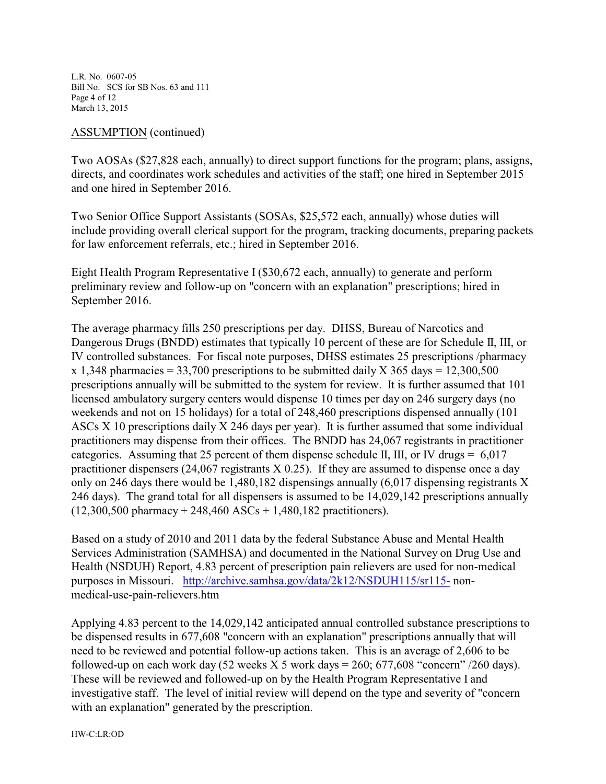L.R. No. 0607-05 Bill No. SCS for SB Nos. 63 and 111 Page 4 of 12 March 13, 2015

#### ASSUMPTION (continued)

Two AOSAs (\$27,828 each, annually) to direct support functions for the program; plans, assigns, directs, and coordinates work schedules and activities of the staff; one hired in September 2015 and one hired in September 2016.

Two Senior Office Support Assistants (SOSAs, \$25,572 each, annually) whose duties will include providing overall clerical support for the program, tracking documents, preparing packets for law enforcement referrals, etc.; hired in September 2016.

Eight Health Program Representative I (\$30,672 each, annually) to generate and perform preliminary review and follow-up on "concern with an explanation" prescriptions; hired in September 2016.

The average pharmacy fills 250 prescriptions per day. DHSS, Bureau of Narcotics and Dangerous Drugs (BNDD) estimates that typically 10 percent of these are for Schedule II, III, or IV controlled substances. For fiscal note purposes, DHSS estimates 25 prescriptions /pharmacy x 1,348 pharmacies = 33,700 prescriptions to be submitted daily X 365 days = 12,300,500 prescriptions annually will be submitted to the system for review. It is further assumed that 101 licensed ambulatory surgery centers would dispense 10 times per day on 246 surgery days (no weekends and not on 15 holidays) for a total of 248,460 prescriptions dispensed annually (101 ASCs X 10 prescriptions daily X 246 days per year). It is further assumed that some individual practitioners may dispense from their offices. The BNDD has 24,067 registrants in practitioner categories. Assuming that 25 percent of them dispense schedule II, III, or IV drugs  $= 6.017$ practitioner dispensers (24,067 registrants X 0.25). If they are assumed to dispense once a day only on 246 days there would be 1,480,182 dispensings annually (6,017 dispensing registrants X 246 days). The grand total for all dispensers is assumed to be 14,029,142 prescriptions annually  $(12,300,500 \text{ pharmacy} + 248,460 \text{ ASCs} + 1,480,182 \text{ practitioners}).$ 

Based on a study of 2010 and 2011 data by the federal Substance Abuse and Mental Health Services Administration (SAMHSA) and documented in the National Survey on Drug Use and Health (NSDUH) Report, 4.83 percent of prescription pain relievers are used for non-medical purposes in Missouri. <http://archive.samhsa.gov/data/2k12/NSDUH115/sr115-> nonmedical-use-pain-relievers.htm

Applying 4.83 percent to the 14,029,142 anticipated annual controlled substance prescriptions to be dispensed results in 677,608 "concern with an explanation" prescriptions annually that will need to be reviewed and potential follow-up actions taken. This is an average of 2,606 to be followed-up on each work day  $(52 \text{ weeks } X 5 \text{ work days} = 260; 677,608 \text{ "concern" } / 260 \text{ days}).$ These will be reviewed and followed-up on by the Health Program Representative I and investigative staff. The level of initial review will depend on the type and severity of "concern with an explanation" generated by the prescription.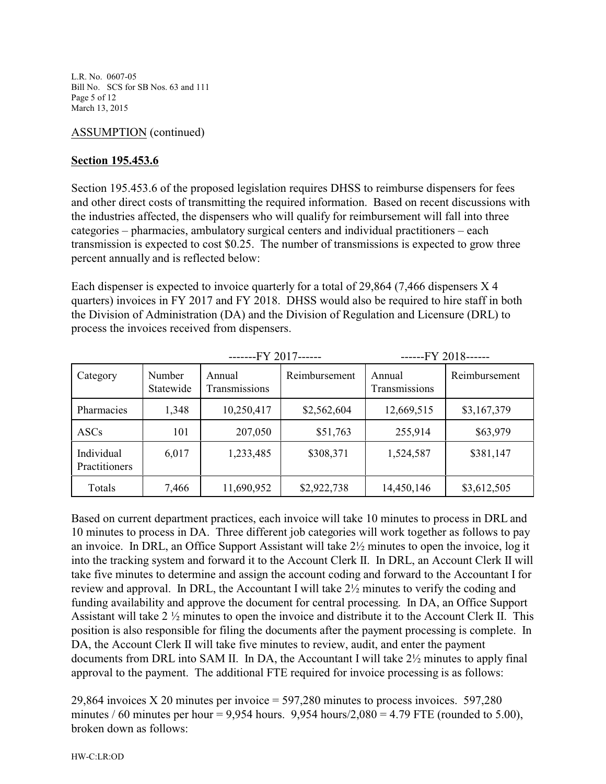L.R. No. 0607-05 Bill No. SCS for SB Nos. 63 and 111 Page 5 of 12 March 13, 2015

## ASSUMPTION (continued)

## **Section 195.453.6**

Section 195.453.6 of the proposed legislation requires DHSS to reimburse dispensers for fees and other direct costs of transmitting the required information. Based on recent discussions with the industries affected, the dispensers who will qualify for reimbursement will fall into three categories – pharmacies, ambulatory surgical centers and individual practitioners – each transmission is expected to cost \$0.25. The number of transmissions is expected to grow three percent annually and is reflected below:

Each dispenser is expected to invoice quarterly for a total of 29,864 (7,466 dispensers X 4 quarters) invoices in FY 2017 and FY 2018. DHSS would also be required to hire staff in both the Division of Administration (DA) and the Division of Regulation and Licensure (DRL) to process the invoices received from dispensers.

|                             |                     | -------FY 2017------    |               | ------FY 2018------     |               |
|-----------------------------|---------------------|-------------------------|---------------|-------------------------|---------------|
| Category                    | Number<br>Statewide | Annual<br>Transmissions | Reimbursement | Annual<br>Transmissions | Reimbursement |
| Pharmacies                  | 1,348               | 10,250,417              | \$2,562,604   | 12,669,515              | \$3,167,379   |
| <b>ASCs</b>                 | 101                 | 207,050                 | \$51,763      | 255,914                 | \$63,979      |
| Individual<br>Practitioners | 6,017               | 1,233,485               | \$308,371     | 1,524,587               | \$381,147     |
| Totals                      | 7,466               | 11,690,952              | \$2,922,738   | 14,450,146              | \$3,612,505   |

Based on current department practices, each invoice will take 10 minutes to process in DRL and 10 minutes to process in DA. Three different job categories will work together as follows to pay an invoice. In DRL, an Office Support Assistant will take 2½ minutes to open the invoice, log it into the tracking system and forward it to the Account Clerk II. In DRL, an Account Clerk II will take five minutes to determine and assign the account coding and forward to the Accountant I for review and approval. In DRL, the Accountant I will take 2½ minutes to verify the coding and funding availability and approve the document for central processing. In DA, an Office Support Assistant will take 2 ½ minutes to open the invoice and distribute it to the Account Clerk II. This position is also responsible for filing the documents after the payment processing is complete. In DA, the Account Clerk II will take five minutes to review, audit, and enter the payment documents from DRL into SAM II. In DA, the Accountant I will take 2½ minutes to apply final approval to the payment. The additional FTE required for invoice processing is as follows:

29,864 invoices X 20 minutes per invoice = 597,280 minutes to process invoices. 597,280 minutes / 60 minutes per hour = 9,954 hours. 9,954 hours/ $2,080 = 4.79$  FTE (rounded to 5.00), broken down as follows: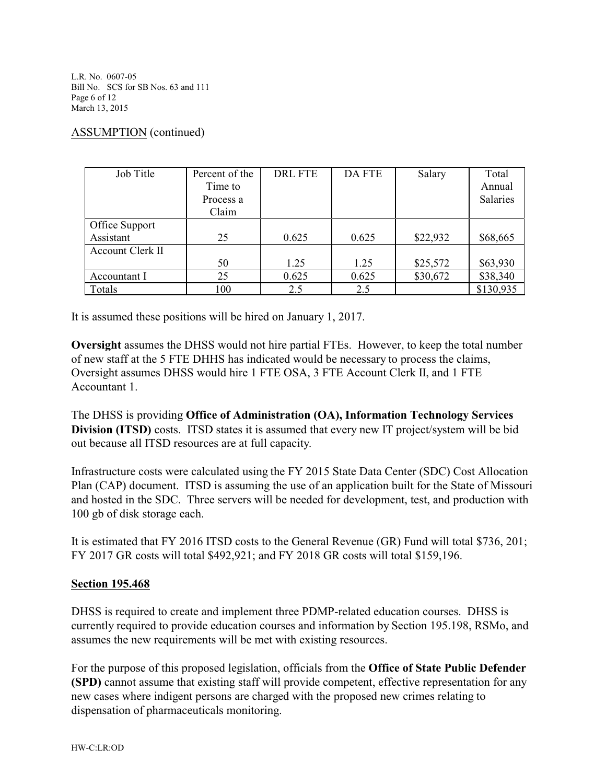L.R. No. 0607-05 Bill No. SCS for SB Nos. 63 and 111 Page 6 of 12 March 13, 2015

### ASSUMPTION (continued)

| Job Title        | Percent of the | <b>DRL FTE</b> | <b>DA FTE</b> | Salary   | Total     |
|------------------|----------------|----------------|---------------|----------|-----------|
|                  | Time to        |                |               |          | Annual    |
|                  | Process a      |                |               |          | Salaries  |
|                  | Claim          |                |               |          |           |
| Office Support   |                |                |               |          |           |
| Assistant        | 25             | 0.625          | 0.625         | \$22,932 | \$68,665  |
| Account Clerk II |                |                |               |          |           |
|                  | 50             | 1.25           | 1.25          | \$25,572 | \$63,930  |
| Accountant I     | 25             | 0.625          | 0.625         | \$30,672 | \$38,340  |
| Totals           | 100            | 2.5            | 2.5           |          | \$130,935 |

It is assumed these positions will be hired on January 1, 2017.

**Oversight** assumes the DHSS would not hire partial FTEs. However, to keep the total number of new staff at the 5 FTE DHHS has indicated would be necessary to process the claims, Oversight assumes DHSS would hire 1 FTE OSA, 3 FTE Account Clerk II, and 1 FTE Accountant 1.

The DHSS is providing **Office of Administration (OA), Information Technology Services Division (ITSD)** costs. ITSD states it is assumed that every new IT project/system will be bid out because all ITSD resources are at full capacity.

Infrastructure costs were calculated using the FY 2015 State Data Center (SDC) Cost Allocation Plan (CAP) document. ITSD is assuming the use of an application built for the State of Missouri and hosted in the SDC. Three servers will be needed for development, test, and production with 100 gb of disk storage each.

It is estimated that FY 2016 ITSD costs to the General Revenue (GR) Fund will total \$736, 201; FY 2017 GR costs will total \$492,921; and FY 2018 GR costs will total \$159,196.

#### **Section 195.468**

DHSS is required to create and implement three PDMP-related education courses. DHSS is currently required to provide education courses and information by Section 195.198, RSMo, and assumes the new requirements will be met with existing resources.

For the purpose of this proposed legislation, officials from the **Office of State Public Defender (SPD)** cannot assume that existing staff will provide competent, effective representation for any new cases where indigent persons are charged with the proposed new crimes relating to dispensation of pharmaceuticals monitoring.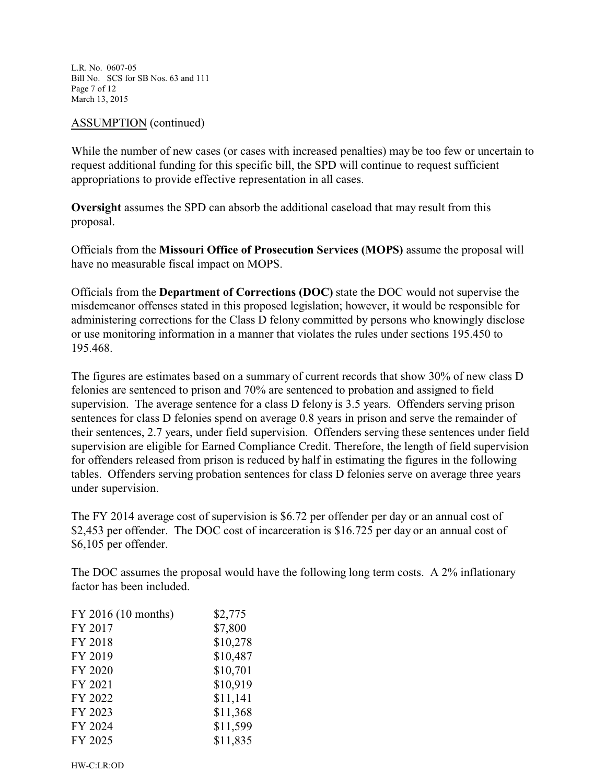L.R. No. 0607-05 Bill No. SCS for SB Nos. 63 and 111 Page 7 of 12 March 13, 2015

#### ASSUMPTION (continued)

While the number of new cases (or cases with increased penalties) may be too few or uncertain to request additional funding for this specific bill, the SPD will continue to request sufficient appropriations to provide effective representation in all cases.

**Oversight** assumes the SPD can absorb the additional caseload that may result from this proposal.

Officials from the **Missouri Office of Prosecution Services (MOPS)** assume the proposal will have no measurable fiscal impact on MOPS.

Officials from the **Department of Corrections (DOC)** state the DOC would not supervise the misdemeanor offenses stated in this proposed legislation; however, it would be responsible for administering corrections for the Class D felony committed by persons who knowingly disclose or use monitoring information in a manner that violates the rules under sections 195.450 to 195.468.

The figures are estimates based on a summary of current records that show 30% of new class D felonies are sentenced to prison and 70% are sentenced to probation and assigned to field supervision. The average sentence for a class D felony is 3.5 years. Offenders serving prison sentences for class D felonies spend on average 0.8 years in prison and serve the remainder of their sentences, 2.7 years, under field supervision. Offenders serving these sentences under field supervision are eligible for Earned Compliance Credit. Therefore, the length of field supervision for offenders released from prison is reduced by half in estimating the figures in the following tables. Offenders serving probation sentences for class D felonies serve on average three years under supervision.

The FY 2014 average cost of supervision is \$6.72 per offender per day or an annual cost of \$2,453 per offender. The DOC cost of incarceration is \$16.725 per day or an annual cost of \$6,105 per offender.

The DOC assumes the proposal would have the following long term costs. A 2% inflationary factor has been included.

| FY 2016 (10 months) | \$2,775  |
|---------------------|----------|
| FY 2017             | \$7,800  |
| FY 2018             | \$10,278 |
| FY 2019             | \$10,487 |
| FY 2020             | \$10,701 |
| FY 2021             | \$10,919 |
| FY 2022             | \$11,141 |
| FY 2023             | \$11,368 |
| FY 2024             | \$11,599 |
| FY 2025             | \$11,835 |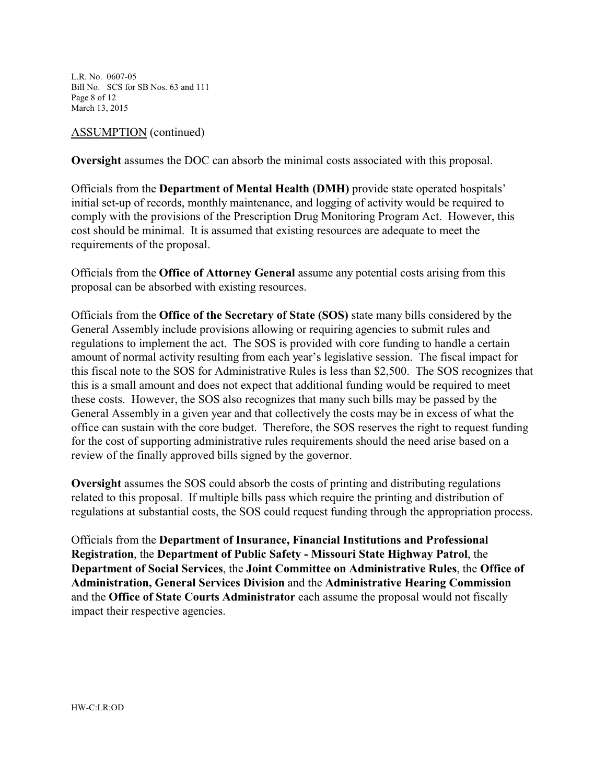L.R. No. 0607-05 Bill No. SCS for SB Nos. 63 and 111 Page 8 of 12 March 13, 2015

#### ASSUMPTION (continued)

**Oversight** assumes the DOC can absorb the minimal costs associated with this proposal.

Officials from the **Department of Mental Health (DMH)** provide state operated hospitals' initial set-up of records, monthly maintenance, and logging of activity would be required to comply with the provisions of the Prescription Drug Monitoring Program Act. However, this cost should be minimal. It is assumed that existing resources are adequate to meet the requirements of the proposal.

Officials from the **Office of Attorney General** assume any potential costs arising from this proposal can be absorbed with existing resources.

Officials from the **Office of the Secretary of State (SOS)** state many bills considered by the General Assembly include provisions allowing or requiring agencies to submit rules and regulations to implement the act. The SOS is provided with core funding to handle a certain amount of normal activity resulting from each year's legislative session. The fiscal impact for this fiscal note to the SOS for Administrative Rules is less than \$2,500. The SOS recognizes that this is a small amount and does not expect that additional funding would be required to meet these costs. However, the SOS also recognizes that many such bills may be passed by the General Assembly in a given year and that collectively the costs may be in excess of what the office can sustain with the core budget. Therefore, the SOS reserves the right to request funding for the cost of supporting administrative rules requirements should the need arise based on a review of the finally approved bills signed by the governor.

**Oversight** assumes the SOS could absorb the costs of printing and distributing regulations related to this proposal. If multiple bills pass which require the printing and distribution of regulations at substantial costs, the SOS could request funding through the appropriation process.

Officials from the **Department of Insurance, Financial Institutions and Professional Registration**, the **Department of Public Safety - Missouri State Highway Patrol**, the **Department of Social Services**, the **Joint Committee on Administrative Rules**, the **Office of Administration, General Services Division** and the **Administrative Hearing Commission**  and the **Office of State Courts Administrator** each assume the proposal would not fiscally impact their respective agencies.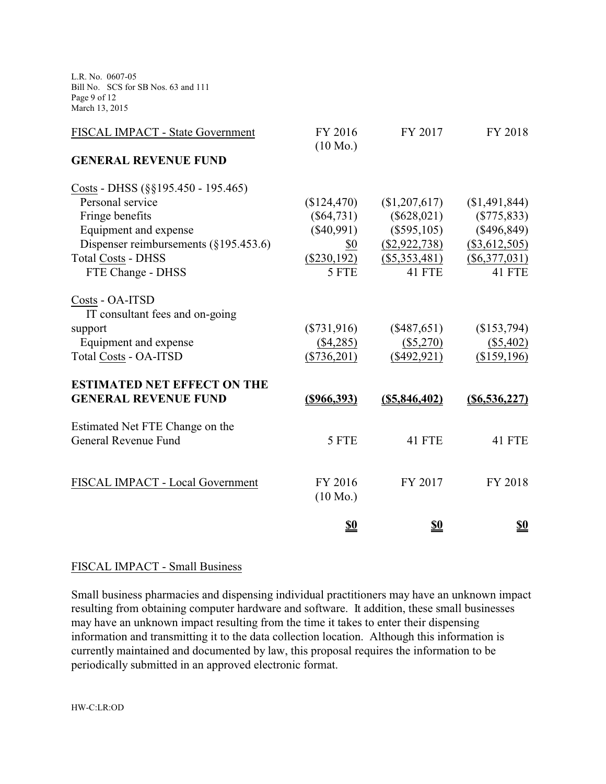L.R. No. 0607-05 Bill No. SCS for SB Nos. 63 and 111 Page 9 of 12 March 13, 2015

| FY 2016<br>$(10 \text{ Mo.})$ | FY 2017                    | FY 2018                    |
|-------------------------------|----------------------------|----------------------------|
|                               |                            |                            |
|                               |                            |                            |
| (\$124,470)                   | (\$1,207,617)              | (\$1,491,844)              |
| $(\$64,731)$                  | $(\$628,021)$              | $(\$775, 833)$             |
| $(\$40,991)$                  | $(\$595,105)$              | $(\$496,849)$              |
| \$0                           | $(\$2,922,738)$            | (\$3,612,505)              |
| $(\$230,192)$                 | $(\$5,353,481)$            | $(\$6,377,031)$            |
| 5 FTE                         | 41 FTE                     | 41 FTE                     |
|                               |                            |                            |
|                               |                            |                            |
|                               |                            | (\$153,794)                |
|                               |                            | $($ \$5,402)               |
| $(\$736,201)$                 | $(\$492,921)$              | (\$159,196)                |
|                               |                            |                            |
| $(\$966,393)$                 | $($ \$5,846,402)           | $($ \$6,536,227)           |
|                               |                            |                            |
| 5 FTE                         | <b>41 FTE</b>              | 41 FTE                     |
|                               |                            |                            |
| FY 2016                       | FY 2017                    | FY 2018                    |
| $(10 \text{ Mo.})$            |                            |                            |
| <u>\$0</u>                    | <u>\$0</u>                 | <u>\$0</u>                 |
|                               | $(\$731,916)$<br>(\$4,285) | $(\$487,651)$<br>(\$5,270) |

## FISCAL IMPACT - Small Business

Small business pharmacies and dispensing individual practitioners may have an unknown impact resulting from obtaining computer hardware and software. It addition, these small businesses may have an unknown impact resulting from the time it takes to enter their dispensing information and transmitting it to the data collection location. Although this information is currently maintained and documented by law, this proposal requires the information to be periodically submitted in an approved electronic format.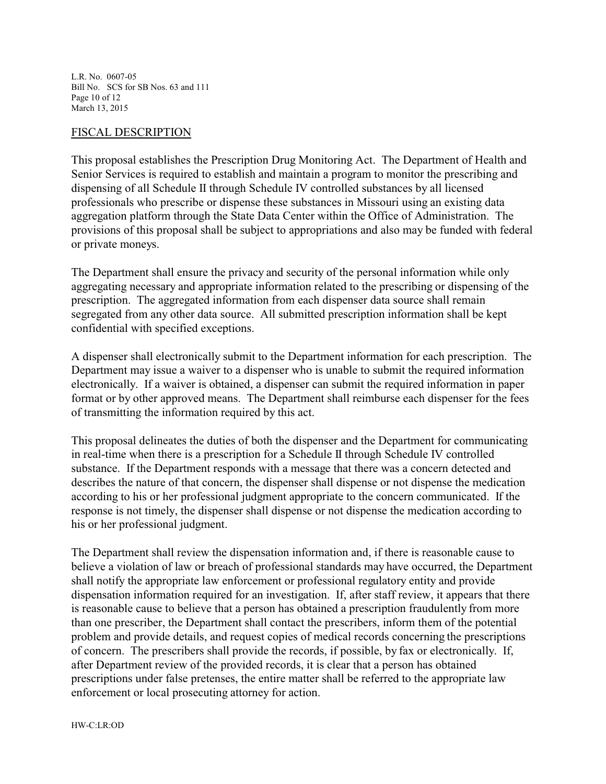L.R. No. 0607-05 Bill No. SCS for SB Nos. 63 and 111 Page 10 of 12 March 13, 2015

#### FISCAL DESCRIPTION

This proposal establishes the Prescription Drug Monitoring Act. The Department of Health and Senior Services is required to establish and maintain a program to monitor the prescribing and dispensing of all Schedule II through Schedule IV controlled substances by all licensed professionals who prescribe or dispense these substances in Missouri using an existing data aggregation platform through the State Data Center within the Office of Administration. The provisions of this proposal shall be subject to appropriations and also may be funded with federal or private moneys.

The Department shall ensure the privacy and security of the personal information while only aggregating necessary and appropriate information related to the prescribing or dispensing of the prescription. The aggregated information from each dispenser data source shall remain segregated from any other data source. All submitted prescription information shall be kept confidential with specified exceptions.

A dispenser shall electronically submit to the Department information for each prescription. The Department may issue a waiver to a dispenser who is unable to submit the required information electronically. If a waiver is obtained, a dispenser can submit the required information in paper format or by other approved means. The Department shall reimburse each dispenser for the fees of transmitting the information required by this act.

This proposal delineates the duties of both the dispenser and the Department for communicating in real-time when there is a prescription for a Schedule II through Schedule IV controlled substance. If the Department responds with a message that there was a concern detected and describes the nature of that concern, the dispenser shall dispense or not dispense the medication according to his or her professional judgment appropriate to the concern communicated. If the response is not timely, the dispenser shall dispense or not dispense the medication according to his or her professional judgment.

The Department shall review the dispensation information and, if there is reasonable cause to believe a violation of law or breach of professional standards may have occurred, the Department shall notify the appropriate law enforcement or professional regulatory entity and provide dispensation information required for an investigation. If, after staff review, it appears that there is reasonable cause to believe that a person has obtained a prescription fraudulently from more than one prescriber, the Department shall contact the prescribers, inform them of the potential problem and provide details, and request copies of medical records concerning the prescriptions of concern. The prescribers shall provide the records, if possible, by fax or electronically. If, after Department review of the provided records, it is clear that a person has obtained prescriptions under false pretenses, the entire matter shall be referred to the appropriate law enforcement or local prosecuting attorney for action.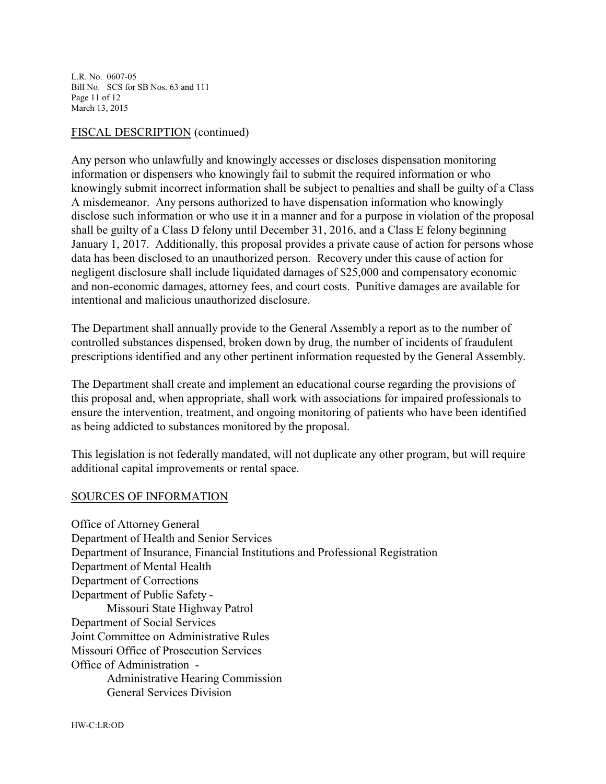L.R. No. 0607-05 Bill No. SCS for SB Nos. 63 and 111 Page 11 of 12 March 13, 2015

#### FISCAL DESCRIPTION (continued)

Any person who unlawfully and knowingly accesses or discloses dispensation monitoring information or dispensers who knowingly fail to submit the required information or who knowingly submit incorrect information shall be subject to penalties and shall be guilty of a Class A misdemeanor. Any persons authorized to have dispensation information who knowingly disclose such information or who use it in a manner and for a purpose in violation of the proposal shall be guilty of a Class D felony until December 31, 2016, and a Class E felony beginning January 1, 2017. Additionally, this proposal provides a private cause of action for persons whose data has been disclosed to an unauthorized person. Recovery under this cause of action for negligent disclosure shall include liquidated damages of \$25,000 and compensatory economic and non-economic damages, attorney fees, and court costs. Punitive damages are available for intentional and malicious unauthorized disclosure.

The Department shall annually provide to the General Assembly a report as to the number of controlled substances dispensed, broken down by drug, the number of incidents of fraudulent prescriptions identified and any other pertinent information requested by the General Assembly.

The Department shall create and implement an educational course regarding the provisions of this proposal and, when appropriate, shall work with associations for impaired professionals to ensure the intervention, treatment, and ongoing monitoring of patients who have been identified as being addicted to substances monitored by the proposal.

This legislation is not federally mandated, will not duplicate any other program, but will require additional capital improvements or rental space.

#### SOURCES OF INFORMATION

Office of Attorney General Department of Health and Senior Services Department of Insurance, Financial Institutions and Professional Registration Department of Mental Health Department of Corrections Department of Public Safety - Missouri State Highway Patrol Department of Social Services Joint Committee on Administrative Rules Missouri Office of Prosecution Services Office of Administration - Administrative Hearing Commission General Services Division